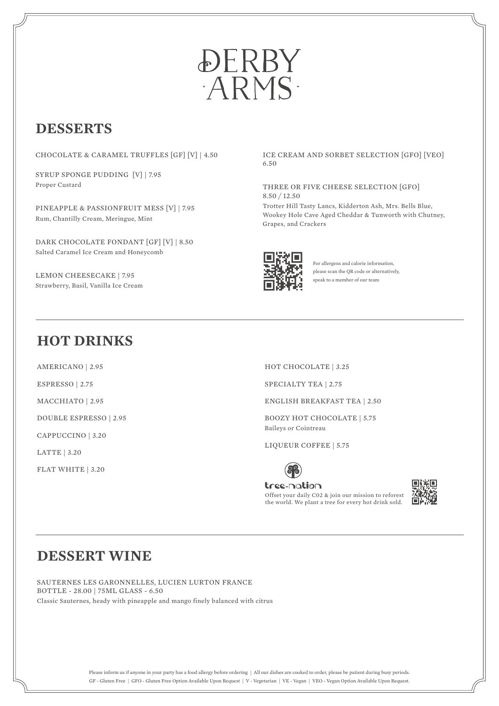

# **DESSERTS**

CHOCOLATE & CARAMEL TRUFFLES [GF] [V] | 4.50

SYRUP SPONGE PUDDING [V] | 7.95 Proper Custard

PINEAPPLE & PASSIONFRUIT MESS [V] | 7.95 Rum, Chantilly Cream, Meringue, Mint

DARK CHOCOLATE FONDANT [GF] [V] | 8.50 Salted Caramel Ice Cream and Honeycomb

LEMON CHEESECAKE | 7.95 Strawberry, Basil, Vanilla Ice Cream ICE CREAM AND SORBET SELECTION [GFO] [VEO] 6.50

#### THREE OR FIVE CHEESE SELECTION [GFO] 8.50 / 12.50

Trotter Hill Tasty Lancs, Kidderton Ash, Mrs. Bells Blue, Wookey Hole Cave Aged Cheddar & Tunworth with Chutney, Grapes, and Crackers



For allergens and calorie information, please scan the QR code or alternatively, speak to a member of our team

## **HOT DRINKS**

AMERICANO | 2.95

ESPRESSO | 2.75

MACCHIATO | 2.95

DOUBLE ESPRESSO | 2.95

CAPPUCCINO | 3.20

LATTE | 3.20

FLAT WHITE | 3.20

HOT CHOCOLATE | 3.25

SPECIALTY TEA | 2.75

ENGLISH BREAKFAST TEA | 2.50

BOOZY HOT CHOCOLATE | 5.75 Baileys or Cointreau

LIQUEUR COFFEE | 5.75



tree-nation Offset your daily C02 & join our mission to reforest the world. We plant a tree for every hot drink sold.



## **DESSERT WINE**

SAUTERNES LES GARONNELLES, LUCIEN LURTON FRANCE BOTTLE - 28.00 | 75ML GLASS - 6.50 Classic Sauternes, heady with pineapple and mango finely balanced with citrus

> Please inform us if anyone in your party has a food allergy before ordering | All our dishes are cooked to order, please be patient during busy periods. GF - Gluten Free | GFO - Gluten Free Option Available Upon Request | V - Vegetarian | VE - Vegan | VEO - Vegan Option Available Upon Request.